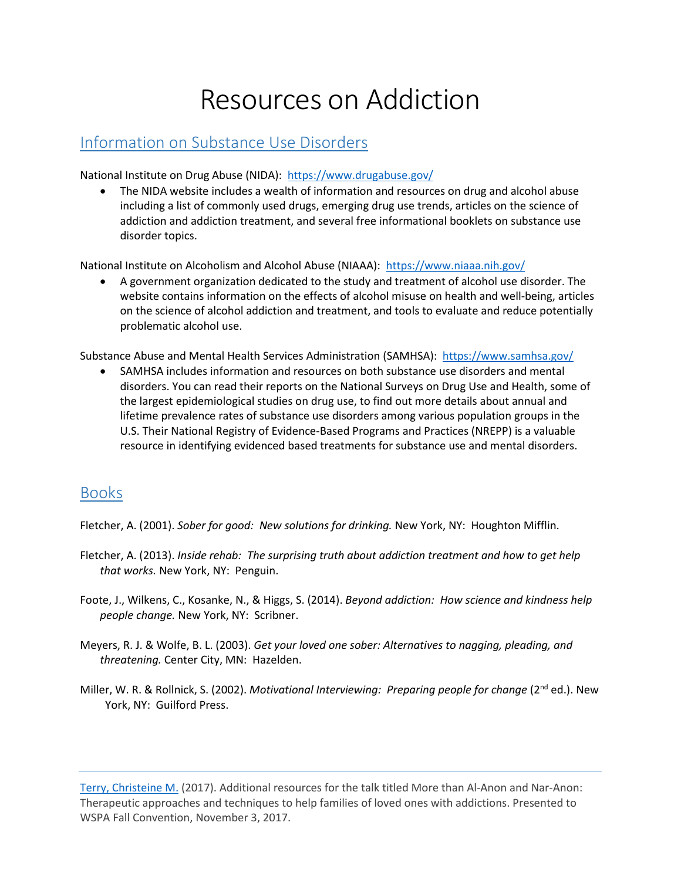# Resources on Addiction

# Information on Substance Use Disorders

National Institute on Drug Abuse (NIDA):<https://www.drugabuse.gov/>

• The NIDA website includes a wealth of information and resources on drug and alcohol abuse including a list of commonly used drugs, emerging drug use trends, articles on the science of addiction and addiction treatment, and several free informational booklets on substance use disorder topics.

National Institute on Alcoholism and Alcohol Abuse (NIAAA): <https://www.niaaa.nih.gov/>

• A government organization dedicated to the study and treatment of alcohol use disorder. The website contains information on the effects of alcohol misuse on health and well-being, articles on the science of alcohol addiction and treatment, and tools to evaluate and reduce potentially problematic alcohol use.

Substance Abuse and Mental Health Services Administration (SAMHSA): <https://www.samhsa.gov/>

• SAMHSA includes information and resources on both substance use disorders and mental disorders. You can read their reports on the National Surveys on Drug Use and Health, some of the largest epidemiological studies on drug use, to find out more details about annual and lifetime prevalence rates of substance use disorders among various population groups in the U.S. Their National Registry of Evidence-Based Programs and Practices (NREPP) is a valuable resource in identifying evidenced based treatments for substance use and mental disorders.

## Books

Fletcher, A. (2001). *Sober for good: New solutions for drinking.* New York, NY: Houghton Mifflin.

- Fletcher, A. (2013). *Inside rehab: The surprising truth about addiction treatment and how to get help that works.* New York, NY: Penguin.
- Foote, J., Wilkens, C., Kosanke, N., & Higgs, S. (2014). *Beyond addiction: How science and kindness help people change.* New York, NY: Scribner.
- Meyers, R. J. & Wolfe, B. L. (2003). *Get your loved one sober: Alternatives to nagging, pleading, and threatening.* Center City, MN: Hazelden.
- Miller, W. R. & Rollnick, S. (2002). *Motivational Interviewing: Preparing people for change* (2<sup>nd</sup> ed.). New York, NY: Guilford Press.

[Terry, Christeine M.](https://www.psychologytoday.com/us/therapists/christeine-terry-seattle-wa/86924) (2017). Additional resources for the talk titled More than Al-Anon and Nar-Anon: Therapeutic approaches and techniques to help families of loved ones with addictions. Presented to WSPA Fall Convention, November 3, 2017.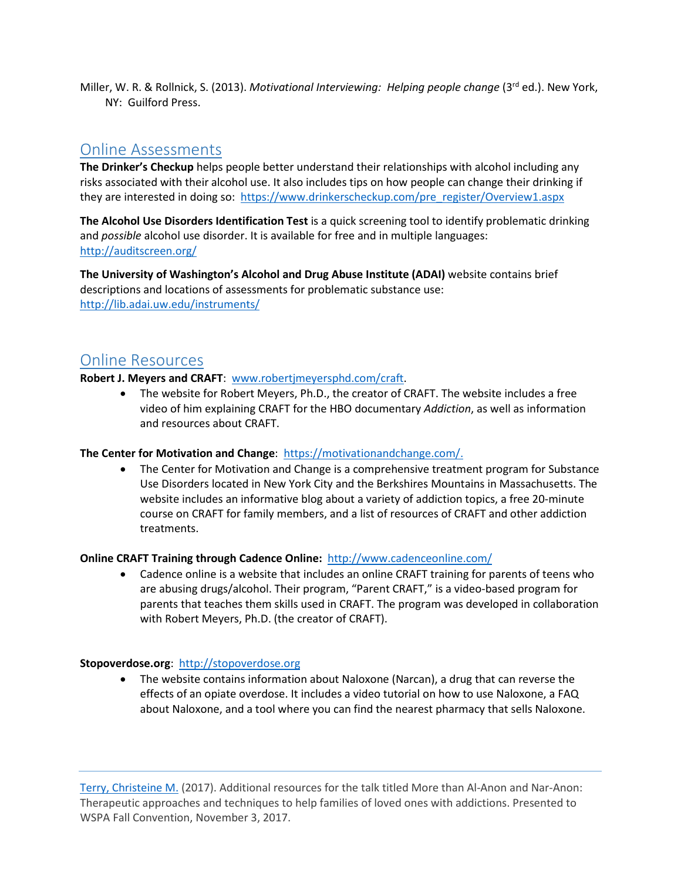Miller, W. R. & Rollnick, S. (2013). *Motivational Interviewing: Helping people change* (3<sup>rd</sup> ed.). New York, NY: Guilford Press.

## Online Assessments

**The Drinker's Checkup** helps people better understand their relationships with alcohol including any risks associated with their alcohol use. It also includes tips on how people can change their drinking if they are interested in doing so: [https://www.drinkerscheckup.com/pre\\_register/Overview1.aspx](https://www.drinkerscheckup.com/pre_register/Overview1.aspx)

**The Alcohol Use Disorders Identification Test** is a quick screening tool to identify problematic drinking and *possible* alcohol use disorder. It is available for free and in multiple languages: <http://auditscreen.org/>

**The University of Washington's Alcohol and Drug Abuse Institute (ADAI)** website contains brief descriptions and locations of assessments for problematic substance use: <http://lib.adai.uw.edu/instruments/>

### Online Resources

#### **Robert J. Meyers and CRAFT**: www.robertjmeyersphd.com/craft.

• The website for Robert Meyers, Ph.D., the creator of CRAFT. The website includes a free video of him explaining CRAFT for the HBO documentary *Addiction*, as well as information and resources about CRAFT.

#### **The Center for Motivation and Change**: [https://motivationandchange.com/.](https://motivationandchange.com/)

• The Center for Motivation and Change is a comprehensive treatment program for Substance Use Disorders located in New York City and the Berkshires Mountains in Massachusetts. The website includes an informative blog about a variety of addiction topics, a free 20-minute course on CRAFT for family members, and a list of resources of CRAFT and other addiction treatments.

#### **Online CRAFT Training through Cadence Online:** <http://www.cadenceonline.com/>

• Cadence online is a website that includes an online CRAFT training for parents of teens who are abusing drugs/alcohol. Their program, "Parent CRAFT," is a video-based program for parents that teaches them skills used in CRAFT. The program was developed in collaboration with Robert Meyers, Ph.D. (the creator of CRAFT).

#### **Stopoverdose.org**: [http://stopoverdose.org](http://stopoverdose.org/)

• The website contains information about Naloxone (Narcan), a drug that can reverse the effects of an opiate overdose. It includes a video tutorial on how to use Naloxone, a FAQ about Naloxone, and a tool where you can find the nearest pharmacy that sells Naloxone.

[Terry, Christeine M.](https://www.psychologytoday.com/us/therapists/christeine-terry-seattle-wa/86924) (2017). Additional resources for the talk titled More than Al-Anon and Nar-Anon: Therapeutic approaches and techniques to help families of loved ones with addictions. Presented to WSPA Fall Convention, November 3, 2017.